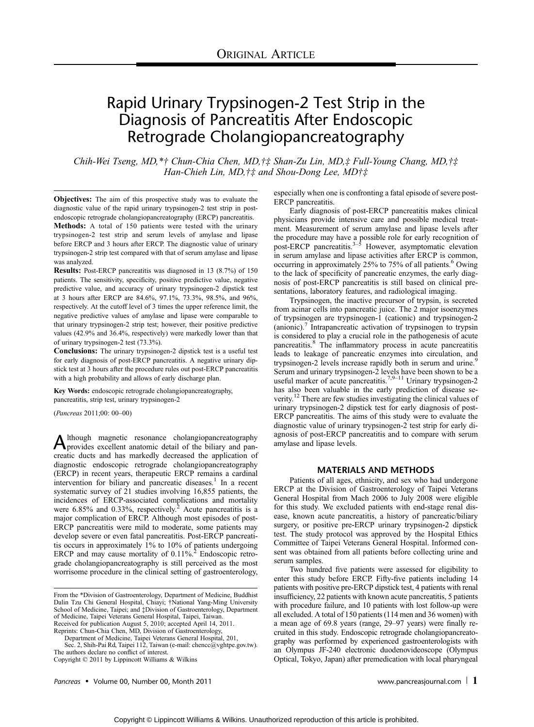# Rapid Urinary Trypsinogen-2 Test Strip in the Diagnosis of Pancreatitis After Endoscopic Retrograde Cholangiopancreatography

Chih-Wei Tseng, MD,\* $\dagger$  Chun-Chia Chen, MD, $\dagger \ddagger$  Shan-Zu Lin, MD, $\ddagger$  Full-Young Chang, MD, $\dagger \ddagger$ Han-Chieh Lin, MD,  $\ddagger\ddagger$  and Shou-Dong Lee, MD $\ddagger\ddagger$ 

Objectives: The aim of this prospective study was to evaluate the diagnostic value of the rapid urinary trypsinogen-2 test strip in postendoscopic retrograde cholangiopancreatography (ERCP) pancreatitis. Methods: A total of 150 patients were tested with the urinary trypsinogen-2 test strip and serum levels of amylase and lipase before ERCP and 3 hours after ERCP. The diagnostic value of urinary trypsinogen-2 strip test compared with that of serum amylase and lipase was analyzed.

Results: Post-ERCP pancreatitis was diagnosed in 13 (8.7%) of 150 patients. The sensitivity, specificity, positive predictive value, negative predictive value, and accuracy of urinary trypsinogen-2 dipstick test at 3 hours after ERCP are 84.6%, 97.1%, 73.3%, 98.5%, and 96%, respectively. At the cutoff level of 3 times the upper reference limit, the negative predictive values of amylase and lipase were comparable to that urinary trypsinogen-2 strip test; however, their positive predictive values (42.9% and 36.4%, respectively) were markedly lower than that of urinary trypsinogen-2 test (73.3%).

Conclusions: The urinary trypsinogen-2 dipstick test is a useful test for early diagnosis of post-ERCP pancreatitis. A negative urinary dipstick test at 3 hours after the procedure rules out post-ERCP pancreatitis with a high probability and allows of early discharge plan.

Key Words: endoscopic retrograde cholangiopancreatography, pancreatitis, strip test, urinary trypsinogen-2

(Pancreas 2011;00: 00-00)

Although magnetic resonance cholangiopancreatography<br>provides excellent anatomic detail of the biliary and pancreatic ducts and has markedly decreased the application of diagnostic endoscopic retrograde cholangiopancreatography (ERCP) in recent years, therapeutic ERCP remains a cardinal intervention for biliary and pancreatic diseases.<sup>1</sup> In a recent systematic survey of 21 studies involving 16,855 patients, the incidences of ERCP-associated complications and mortality were 6.85% and 0.33%, respectively.<sup>2</sup> Acute pancreatitis is a major complication of ERCP. Although most episodes of post-ERCP pancreatitis were mild to moderate, some patients may develop severe or even fatal pancreatitis. Post-ERCP pancreatitis occurs in approximately 1% to 10% of patients undergoing ERCP and may cause mortality of  $0.11\%$ <sup>2</sup> Endoscopic retrograde cholangiopancreatography is still perceived as the most worrisome procedure in the clinical setting of gastroenterology,

Reprints: Chun-Chia Chen, MD, Division of Gastroenterology, Department of Medicine, Taipei Veterans General Hospital, 201,

Sec. 2, Shih-Pai Rd, Taipei 112, Taiwan (e-mail: chencc@vghtpe.gov.tw). The authors declare no conflict of interest.

Copyright  $© 2011$  by Lippincott Williams & Wilkins

Pancreas • Volume 00, Number 00, Month 2011 and the state of the state of the www.pancreasjournal.com | 1

especially when one is confronting a fatal episode of severe post-ERCP pancreatitis.

Early diagnosis of post-ERCP pancreatitis makes clinical physicians provide intensive care and possible medical treatment. Measurement of serum amylase and lipase levels after the procedure may have a possible role for early recognition of post-ERCP pancreatitis.<sup>3–5</sup> However, asymptomatic elevation in serum amylase and lipase activities after ERCP is common, occurring in approximately  $25\%$  to  $75\%$  of all patients.<sup>6</sup> Owing to the lack of specificity of pancreatic enzymes, the early diagnosis of post-ERCP pancreatitis is still based on clinical presentations, laboratory features, and radiological imaging.

Trypsinogen, the inactive precursor of trypsin, is secreted from acinar cells into pancreatic juice. The 2 major isoenzymes of trypsinogen are trypsinogen-1 (cationic) and trypsinogen-2  $(anionic)$ . Intrapancreatic activation of trypsinogen to trypsin is considered to play a crucial role in the pathogenesis of acute pancreatitis.<sup>8</sup> The inflammatory process in acute pancreatitis leads to leakage of pancreatic enzymes into circulation, and trypsinogen-2 levels increase rapidly both in serum and urine.<sup>5</sup> Serum and urinary trypsinogen-2 levels have been shown to be a useful marker of acute pancreatitis.<sup>7,9–11</sup> Urinary trypsinogen-2 has also been valuable in the early prediction of disease severity.<sup>12</sup> There are few studies investigating the clinical values of urinary trypsinogen-2 dipstick test for early diagnosis of post-ERCP pancreatitis. The aims of this study were to evaluate the diagnostic value of urinary trypsinogen-2 test strip for early diagnosis of post-ERCP pancreatitis and to compare with serum amylase and lipase levels.

## MATERIALS AND METHODS

Patients of all ages, ethnicity, and sex who had undergone ERCP at the Division of Gastroenterology of Taipei Veterans General Hospital from Mach 2006 to July 2008 were eligible for this study. We excluded patients with end-stage renal disease, known acute pancreatitis, a history of pancreatic/biliary surgery, or positive pre-ERCP urinary trypsinogen-2 dipstick test. The study protocol was approved by the Hospital Ethics Committee of Taipei Veterans General Hospital. Informed consent was obtained from all patients before collecting urine and serum samples.

Two hundred five patients were assessed for eligibility to enter this study before ERCP. Fifty-five patients including 14 patients with positive pre-ERCP dipstick test, 4 patients with renal insufficiency, 22 patients with known acute pancreatitis, 5 patients with procedure failure, and 10 patients with lost follow-up were all excluded. A total of 150 patients (114 men and 36 women) with a mean age of 69.8 years (range, 29-97 years) were finally recruited in this study. Endoscopic retrograde cholangiopancreatography was performed by experienced gastroenterologists with an Olympus JF-240 electronic duodenovideoscope (Olympus Optical, Tokyo, Japan) after premedication with local pharyngeal

From the \*Division of Gastroenterology, Department of Medicine, Buddhist Dalin Tzu Chi General Hospital, Chiayi; †National Yang-Ming University School of Medicine, Taipei; and ‡Division of Gastroenterology, Department of Medicine, Taipei Veterans General Hospital, Taipei, Taiwan. Received for publication August 5, 2010; accepted April 14, 2011.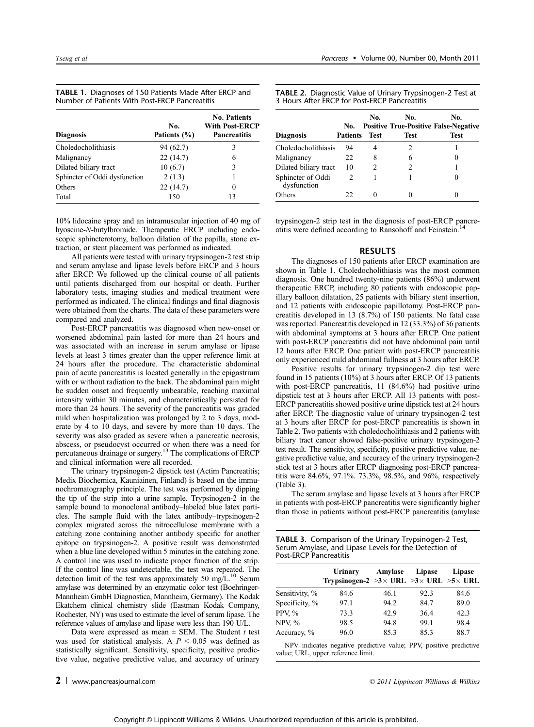| <b>TABLE 1.</b> Diagnoses of 150 Patients Made After ERCP and |  |
|---------------------------------------------------------------|--|
| Number of Patients With Post-ERCP Pancreatitis                |  |

| <b>Diagnosis</b>              | No.<br>Patients (%) | <b>No. Patients</b><br>With Post-ERCP<br><b>Pancreatitis</b> |
|-------------------------------|---------------------|--------------------------------------------------------------|
| Choledocholithiasis           | 94 (62.7)           | 3                                                            |
| Malignancy                    | 22(14.7)            | 6                                                            |
| Dilated biliary tract         | 10(6.7)             | 3                                                            |
| Sphincter of Oddi dysfunction | 2(1.3)              | 1                                                            |
| Others                        | 22(14.7)            | 0                                                            |
| Total                         | 150                 | 13                                                           |

10% lidocaine spray and an intramuscular injection of 40 mg of hyoscine-N-butylbromide. Therapeutic ERCP including endoscopic sphincterotomy, balloon dilation of the papilla, stone extraction, or stent placement was performed as indicated.

All patients were tested with urinary trypsinogen-2 test strip and serum amylase and lipase levels before ERCP and 3 hours after ERCP. We followed up the clinical course of all patients until patients discharged from our hospital or death. Further laboratory tests, imaging studies and medical treatment were performed as indicated. The clinical findings and final diagnosis were obtained from the charts. The data of these parameters were compared and analyzed.

Post-ERCP pancreatitis was diagnosed when new-onset or worsened abdominal pain lasted for more than 24 hours and was associated with an increase in serum amylase or lipase levels at least 3 times greater than the upper reference limit at 24 hours after the procedure. The characteristic abdominal pain of acute pancreatitis is located generally in the epigastrium with or without radiation to the back. The abdominal pain might be sudden onset and frequently unbearable, reaching maximal intensity within 30 minutes, and characteristically persisted for more than 24 hours. The severity of the pancreatitis was graded mild when hospitalization was prolonged by 2 to 3 days, moderate by 4 to 10 days, and severe by more than 10 days. The severity was also graded as severe when a pancreatic necrosis, abscess, or pseudocyst occurred or when there was a need for percutaneous drainage or surgery.<sup>13</sup> The complications of ERCP and clinical information were all recorded.

The urinary trypsinogen-2 dipstick test (Actim Pancreatitis; Medix Biochemica, Kauniainen, Finland) is based on the immunochromatography principle. The test was performed by dipping the tip of the strip into a urine sample. Trypsinogen-2 in the sample bound to monoclonal antibody-labeled blue latex particles. The sample fluid with the latex antibody-trypsinogen-2 complex migrated across the nitrocellulose membrane with a catching zone containing another antibody specific for another epitope on trypsinogen-2. A positive result was demonstrated when a blue line developed within 5 minutes in the catching zone. A control line was used to indicate proper function of the strip. If the control line was undetectable, the test was repeated. The detection limit of the test was approximately 50 mg/L.<sup>10</sup> Serum amylase was determined by an enzymatic color test (Boehringer-Mannheim GmbH Diagnostica, Mannheim, Germany). The Kodak Ekatchem clinical chemistry slide (Eastman Kodak Company, Rochester, NY) was used to estimate the level of serum lipase. The reference values of amylase and lipase were less than 190 U/L.

Data were expressed as mean  $\pm$  SEM. The Student t test was used for statistical analysis. A  $P < 0.05$  was defined as statistically significant. Sensitivity, specificity, positive predictive value, negative predictive value, and accuracy of urinary

 $2 \perp$  www.pancreasjournal.com  $\circ$  2011 Lippincott Williams & Wilkins

TABLE 2. Diagnostic Value of Urinary Trypsinogen-2 Test at 3 Hours After ERCP for Post-ERCP Pancreatitis

| <b>Diagnosis</b>                 | No.<br><b>Patients</b> | No.<br><b>Test</b> | No.<br><b>Test</b> | No.<br><b>Positive True-Positive False-Negative</b><br>Test |
|----------------------------------|------------------------|--------------------|--------------------|-------------------------------------------------------------|
| Choledocholithiasis              | 94                     |                    | 2                  |                                                             |
| Malignancy                       | 22                     | 8                  | 6                  |                                                             |
| Dilated biliary tract            | 10                     | 2                  |                    |                                                             |
| Sphincter of Oddi<br>dysfunction | 2                      |                    |                    |                                                             |
| Others                           | 22                     | 0                  |                    |                                                             |

trypsinogen-2 strip test in the diagnosis of post-ERCP pancreatitis were defined according to Ransohoff and Feinstein.<sup>14</sup>

#### RESULTS

The diagnoses of 150 patients after ERCP examination are shown in Table 1. Choledocholithiasis was the most common diagnosis. One hundred twenty-nine patients (86%) underwent therapeutic ERCP, including 80 patients with endoscopic papillary balloon dilatation, 25 patients with biliary stent insertion, and 12 patients with endoscopic papillotomy. Post-ERCP pancreatitis developed in 13 (8.7%) of 150 patients. No fatal case was reported. Pancreatitis developed in 12 (33.3%) of 36 patients with abdominal symptoms at 3 hours after ERCP. One patient with post-ERCP pancreatitis did not have abdominal pain until 12 hours after ERCP. One patient with post-ERCP pancreatitis only experienced mild abdominal fullness at 3 hours after ERCP.

Positive results for urinary trypsinogen-2 dip test were found in 15 patients (10%) at 3 hours after ERCP. Of 13 patients with post-ERCP pancreatitis, 11 (84.6%) had positive urine dipstick test at 3 hours after ERCP. All 13 patients with post-ERCP pancreatitis showed positive urine dipstick test at 24 hours after ERCP. The diagnostic value of urinary trypsinogen-2 test at 3 hours after ERCP for post-ERCP pancreatitis is shown in Table 2. Two patients with choledocholithiasis and 2 patients with biliary tract cancer showed false-positive urinary trypsinogen-2 test result. The sensitivity, specificity, positive predictive value, negative predictive value, and accuracy of the urinary trypsinogen-2 stick test at 3 hours after ERCP diagnosing post-ERCP pancreatitis were 84.6%, 97.1%. 73.3%, 98.5%, and 96%, respectively (Table 3).

The serum amylase and lipase levels at 3 hours after ERCP in patients with post-ERCP pancreatitis were significantly higher than those in patients without post-ERCP pancreatitis (amylase

TABLE 3. Comparison of the Urinary Trypsinogen-2 Test, Serum Amylase, and Lipase Levels for the Detection of Post-ERCP Pancreatitis

|                | Urinary<br>Trypsinogen-2 >3 $\times$ URL >3 $\times$ URL >5 $\times$ URL | Amylase | Lipase | Lipase |
|----------------|--------------------------------------------------------------------------|---------|--------|--------|
| Sensitivity, % | 84.6                                                                     | 46.1    | 92.3   | 84.6   |
| Specificity, % | 97.1                                                                     | 94.2    | 84.7   | 89.0   |
| PPV, $\%$      | 73.3                                                                     | 42.9    | 36.4   | 42.3   |
| NPV, $\%$      | 98.5                                                                     | 94.8    | 99.1   | 98.4   |
| Accuracy, %    | 96.0                                                                     | 85.3    | 85.3   | 88.7   |

NPV indicates negative predictive value; PPV, positive predictive value; URL, upper reference limit.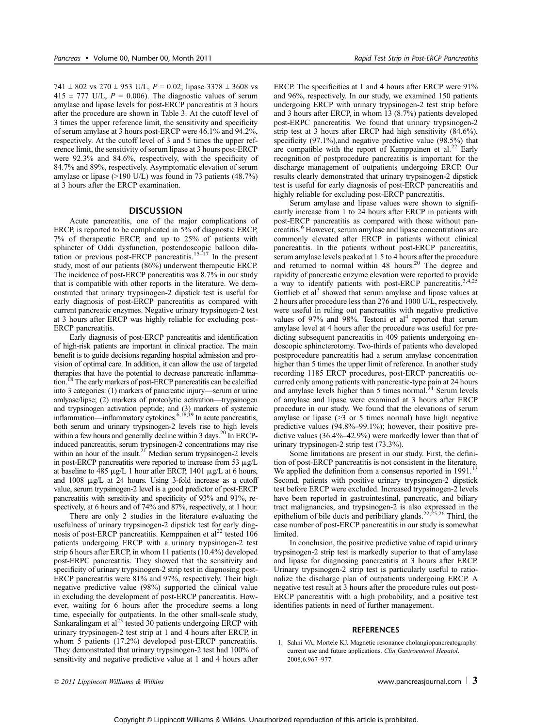at 3 hours after the ERCP examination.

741  $\pm$  802 vs 270  $\pm$  953 U/L,  $P = 0.02$ ; lipase 3378  $\pm$  3608 vs 415  $\pm$  777 U/L,  $P = 0.006$ ). The diagnostic values of serum amylase and lipase levels for post-ERCP pancreatitis at 3 hours after the procedure are shown in Table 3. At the cutoff level of 3 times the upper reference limit, the sensitivity and specificity of serum amylase at 3 hours post-ERCP were 46.1% and 94.2%, respectively. At the cutoff level of 3 and 5 times the upper reference limit, the sensitivity of serum lipase at 3 hours post-ERCP were 92.3% and 84.6%, respectively, with the specificity of 84.7% and 89%, respectively. Asymptomatic elevation of serum amylase or lipase  $(>190 \text{ U/L})$  was found in 73 patients  $(48.7\%)$ 

#### **DISCUSSION**

Acute pancreatitis, one of the major complications of ERCP, is reported to be complicated in 5% of diagnostic ERCP, 7% of therapeutic ERCP, and up to 25% of patients with sphincter of Oddi dysfunction, postendoscopic balloon dilatation or previous post-ERCP pancreatitis.<sup>15-17</sup> In the present study, most of our patients (86%) underwent therapeutic ERCP. The incidence of post-ERCP pancreatitis was 8.7% in our study that is compatible with other reports in the literature. We demonstrated that urinary trypsinogen-2 dipstick test is useful for early diagnosis of post-ERCP pancreatitis as compared with current pancreatic enzymes. Negative urinary trypsinogen-2 test at 3 hours after ERCP was highly reliable for excluding post-ERCP pancreatitis.

Early diagnosis of post-ERCP pancreatitis and identification of high-risk patients are important in clinical practice. The main benefit is to guide decisions regarding hospital admission and provision of optimal care. In addition, it can allow the use of targeted therapies that have the potential to decrease pancreatic inflammation.<sup>18</sup> The early markers of post-ERCP pancreatitis can be calcified into 3 categories: (1) markers of pancreatic injury—serum or urine amlyase/lipse; (2) markers of proteolytic activation—trypsinogen and trypsinogen activation peptide; and (3) markers of systemic inflammation—inflammatory cytokines.<sup>6,18,19</sup> In acute pancreatitis, both serum and urinary trypsinogen-2 levels rise to high levels within a few hours and generally decline within 3 days.<sup>20</sup> In ERCPinduced pancreatitis, serum trypsinogen-2 concentrations may rise within an hour of the insult.<sup>21</sup> Median serum trypsinogen-2 levels in post-ERCP pancreatitis were reported to increase from 53  $\mu$ g/L at baseline to 485  $\mu$ g/L 1 hour after ERCP, 1401  $\mu$ g/L at 6 hours, and  $1008 \mu g/L$  at 24 hours. Using 3-fold increase as a cutoff value, serum trypsinogen-2 level is a good predictor of post-ERCP pancreatitis with sensitivity and specificity of 93% and 91%, respectively, at 6 hours and of 74% and 87%, respectively, at 1 hour.

There are only 2 studies in the literature evaluating the usefulness of urinary trypsinogen-2 dipstick test for early diagnosis of post-ERCP pancreatitis. Kemppainen et  $al^{22}$  tested 106 patients undergoing ERCP with a urinary trypsinogen-2 test strip 6 hours after ERCP, in whom 11 patients (10.4%) developed post-ERPC pancreatitis. They showed that the sensitivity and specificity of urinary trypsinogen-2 strip test in diagnosing post-ERCP pancreatitis were 81% and 97%, respectively. Their high negative predictive value (98%) supported the clinical value in excluding the development of post-ERCP pancreatitis. However, waiting for 6 hours after the procedure seems a long time, especially for outpatients. In the other small-scale study, Sankaralingam et al $^{23}$  tested 30 patients undergoing ERCP with urinary trypsinogen-2 test strip at 1 and 4 hours after ERCP, in whom 5 patients (17.2%) developed post-ERCP pancreatitis. They demonstrated that urinary trypsinogen-2 test had 100% of sensitivity and negative predictive value at 1 and 4 hours after

ERCP. The specificities at 1 and 4 hours after ERCP were 91% and 96%, respectively. In our study, we examined 150 patients undergoing ERCP with urinary trypsinogen-2 test strip before and 3 hours after ERCP, in whom 13 (8.7%) patients developed post-ERPC pancreatitis. We found that urinary trypsinogen-2 strip test at 3 hours after ERCP had high sensitivity (84.6%), specificity (97.1%),and negative predictive value (98.5%) that are compatible with the report of Kemppainen et al.<sup>22</sup> Early recognition of postprocedure pancreatitis is important for the discharge management of outpatients undergoing ERCP. Our results clearly demonstrated that urinary trypsinogen-2 dipstick test is useful for early diagnosis of post-ERCP pancreatitis and highly reliable for excluding post-ERCP pancreatitis.

Serum amylase and lipase values were shown to significantly increase from 1 to 24 hours after ERCP in patients with post-ERCP pancreatitis as compared with those without pancreatitis.<sup>6</sup> However, serum amylase and lipase concentrations are commonly elevated after ERCP in patients without clinical pancreatitis. In the patients without post-ERCP pancreatitis, serum amylase levels peaked at 1.5 to 4 hours after the procedure and returned to normal within 48 hours.<sup>20</sup> The degree and rapidity of pancreatic enzyme elevation were reported to provide a way to identify patients with post-ERCP pancreatitis.<sup>3,4,25</sup> Gottlieb et al<sup>3</sup> showed that serum amylase and lipase values at 2 hours after procedure less than 276 and 1000 U/L, respectively, were useful in ruling out pancreatitis with negative predictive values of 97% and 98%. Testoni et  $al<sup>4</sup>$  reported that serum amylase level at 4 hours after the procedure was useful for predicting subsequent pancreatitis in 409 patients undergoing endoscopic sphincterotomy. Two-thirds of patients who developed postprocedure pancreatitis had a serum amylase concentration higher than 5 times the upper limit of reference. In another study recording 1185 ERCP procedures, post-ERCP pancreatitis occurred only among patients with pancreatic-type pain at 24 hours and amylase levels higher than  $\bar{5}$  times normal.<sup>24</sup> Serum levels of amylase and lipase were examined at 3 hours after ERCP procedure in our study. We found that the elevations of serum amylase or lipase  $(>3$  or 5 times normal) have high negative predictive values  $(94.8\% - 99.1\%)$ ; however, their positive predictive values  $(36.4\% - 42.9\%)$  were markedly lower than that of urinary trypsinogen-2 strip test (73.3%).

Some limitations are present in our study. First, the definition of post-ERCP pancreatitis is not consistent in the literature. We applied the definition from a consensus reported in 1991.<sup>13</sup> Second, patients with positive urinary trypsinogen-2 dipstick test before ERCP were excluded. Increased trypsinogen-2 levels have been reported in gastrointestinal, pancreatic, and biliary tract malignancies, and trypsinogen-2 is also expressed in the epithelium of bile ducts and peribiliary glands.<sup>22,25,26</sup> Third, the case number of post-ERCP pancreatitis in our study is somewhat limited.

In conclusion, the positive predictive value of rapid urinary trypsinogen-2 strip test is markedly superior to that of amylase and lipase for diagnosing pancreatitis at 3 hours after ERCP. Urinary trypsinogen-2 strip test is particularly useful to rationalize the discharge plan of outpatients undergoing ERCP. A negative test result at 3 hours after the procedure rules out post-ERCP pancreatitis with a high probability, and a positive test identifies patients in need of further management.

### **REFERENCES**

1. Sahni VA, Mortele KJ. Magnetic resonance cholangiopancreatography: current use and future applications. Clin Gastroenterol Hepatol. 2008;6:967-977.

© 2011 Lippincott Williams & Wilkins www.pancreasjournal.com  $\vert$  3